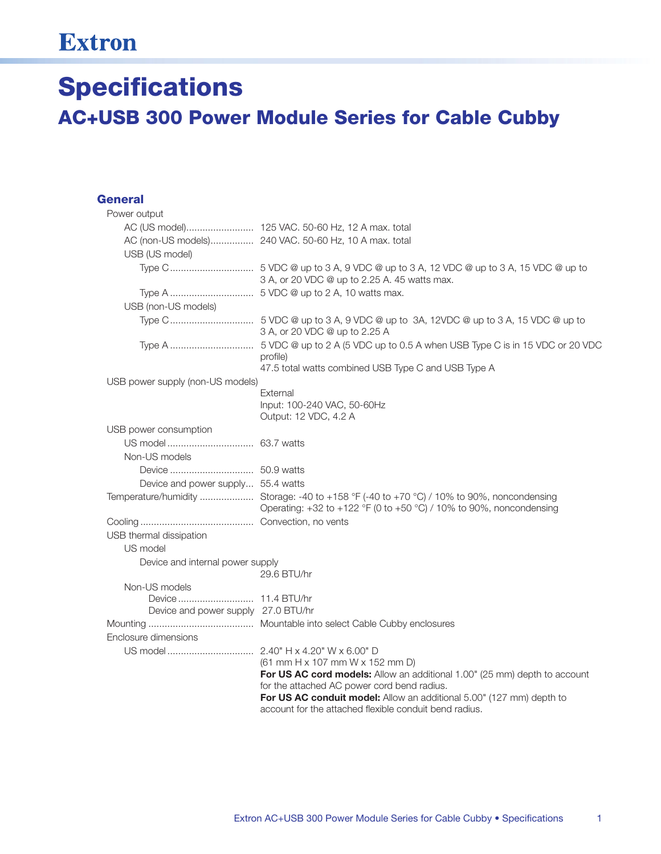## **Extron**

## **Specifications AC+USB 300 Power Module Series for Cable Cubby**

## **General**

| Power output                        |                                                                                                                                                                  |  |
|-------------------------------------|------------------------------------------------------------------------------------------------------------------------------------------------------------------|--|
|                                     |                                                                                                                                                                  |  |
|                                     | AC (non-US models) 240 VAC. 50-60 Hz, 10 A max. total                                                                                                            |  |
| USB (US model)                      |                                                                                                                                                                  |  |
|                                     | 3 A, or 20 VDC @ up to 2.25 A. 45 watts max.                                                                                                                     |  |
|                                     |                                                                                                                                                                  |  |
| USB (non-US models)                 |                                                                                                                                                                  |  |
|                                     | 3 A, or 20 VDC @ up to 2.25 A                                                                                                                                    |  |
|                                     | profile)<br>47.5 total watts combined USB Type C and USB Type A                                                                                                  |  |
| USB power supply (non-US models)    |                                                                                                                                                                  |  |
|                                     | External<br>Input: 100-240 VAC, 50-60Hz<br>Output: 12 VDC, 4.2 A                                                                                                 |  |
| USB power consumption               |                                                                                                                                                                  |  |
|                                     |                                                                                                                                                                  |  |
| Non-US models                       |                                                                                                                                                                  |  |
|                                     |                                                                                                                                                                  |  |
| Device and power supply 55.4 watts  |                                                                                                                                                                  |  |
|                                     | Temperature/humidity  Storage: -40 to +158 °F (-40 to +70 °C) / 10% to 90%, noncondensing<br>Operating: +32 to +122 °F (0 to +50 °C) / 10% to 90%, noncondensing |  |
|                                     |                                                                                                                                                                  |  |
| USB thermal dissipation             |                                                                                                                                                                  |  |
| US model                            |                                                                                                                                                                  |  |
| Device and internal power supply    | 29.6 BTU/hr                                                                                                                                                      |  |
| Non-US models                       |                                                                                                                                                                  |  |
| Device and power supply 27.0 BTU/hr |                                                                                                                                                                  |  |
|                                     |                                                                                                                                                                  |  |
| Enclosure dimensions                |                                                                                                                                                                  |  |
|                                     |                                                                                                                                                                  |  |
|                                     | (61 mm H x 107 mm W x 152 mm D)                                                                                                                                  |  |
|                                     | For US AC cord models: Allow an additional 1.00" (25 mm) depth to account                                                                                        |  |
|                                     | for the attached AC power cord bend radius.<br>For US AC conduit model: Allow an additional 5.00" (127 mm) depth to                                              |  |
|                                     | account for the attached flexible conduit bend radius.                                                                                                           |  |